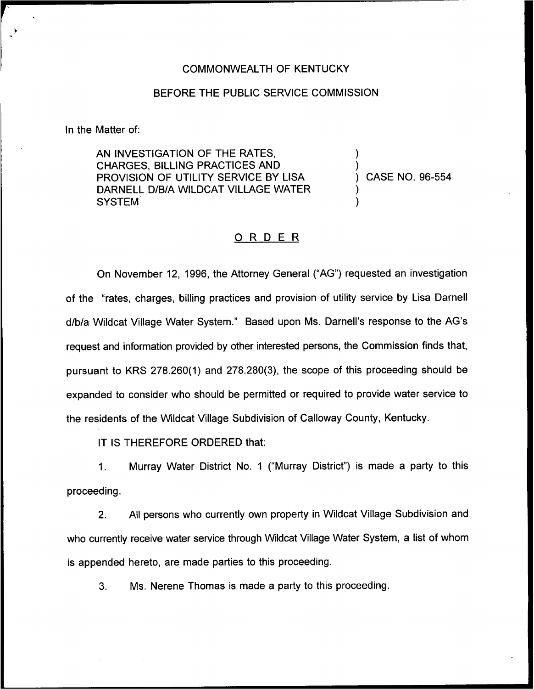### COMMONWEALTH OF KENTUCKY

#### BEFORE THE PUBLIC SERVICE COMMISSION

In the Matter of:

AN INVESTIGATION OF THE RATES, CHARGES, BILLING PRACTICES AND PROVISION OF UTILITY SERVICE BY LISA DARNELL D/B/A WILDCAT VILLAGE WATER **SYSTEM** 

) CASE NO. 96-554

) )

) )

### ORDER

On November 12, 1996, the Attorney General ("AG") requested an investigation of the "rates, charges, billing practices and provision of utility service by Lisa Darnell d/b/a Wildcat Village Water System." Based upon Ms. Darnell's response to the AG's request and information provided by other interested persons, the Commission finds that, pursuant to KRS 278.260(1) and 278.280(3), the scope of this proceeding should be expanded to consider who should be permitted or required to provide water service to the residents of the Wildcat Village Subdivision of Galloway County, Kentucky.

IT IS THEREFORE ORDERED that:

Murray Water District No. 1 ("Murray District") is made a party to this 1. proceeding.

2. All persons who currently own property in Wildcat Village Subdivision and who currently receive water service through Wildcat Village Water System, a list of whom is appended hereto, are made parties to this proceeding.

3. Ms. Nerene Thomas is made a party to this proceeding.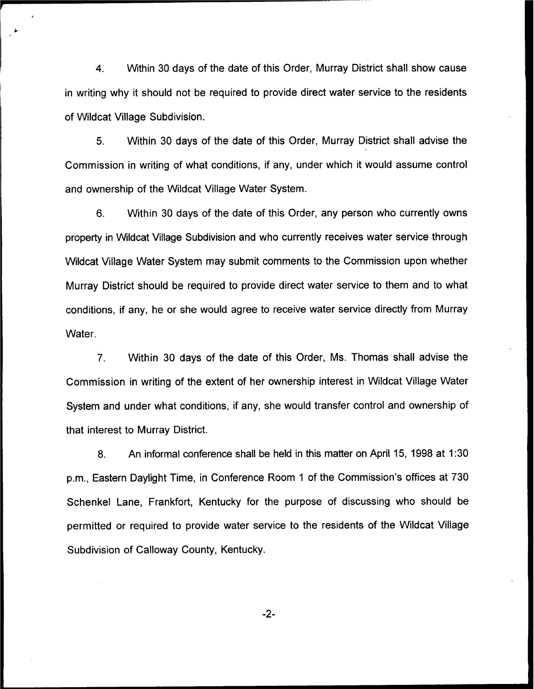4. Within 30 days of the date of this Order, Murray District shall show cause in writing why it should not be required to provide direct water service to the residents of Wildcat Village Subdivision.

5. Within 30 days of the date of this Order, Murray District shall advise the Commission in writing of what conditions, if any, under which it would assume control and ownership of the Wildcat Village Water System.

6. Within 30 days of the date of this Order, any person who currently owns property in Wildcat Village Subdivision and who currently receives water service through Wildcat Village Water System may submit comments to the Commission upon whether Murray District should be required to provide direct water service to them and to what conditions, if any, he or she would agree to receive water service directly from Murray Water.

7. Within 30 days of the date of this Order, Ms. Thomas shall advise the Commission in writing of the extent of her ownership interest in Wildcat Village Water System and under what conditions, if any, she would transfer control and ownership of that interest to Murray District.

8. An informal conference shall be held in this matter on April 15, 1998 at 1:30 p.m., Eastern Daylight Time, in Conference Room <sup>1</sup> of the Commission's offices at 730 Schenkel Lane, Frankfort, Kentucky for the purpose of discussing who should be permitted or required to provide water service to the residents of the Wildcat Village Subdivision of Galloway County, Kentucky.

-2-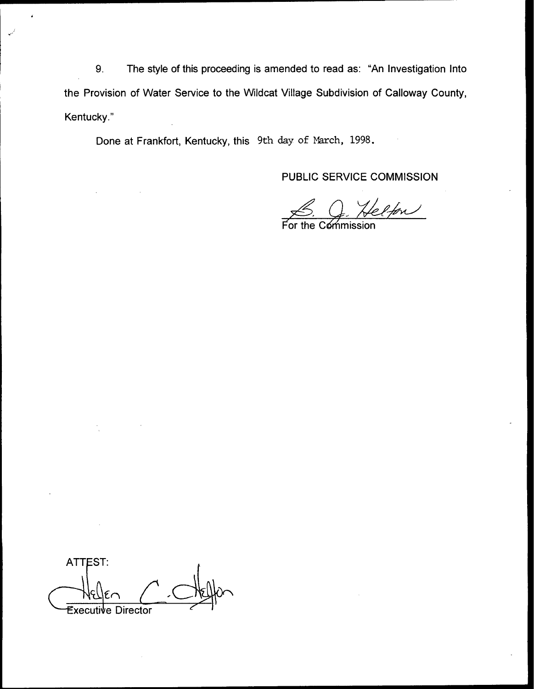9. The style of this proceeding is amended to read as: "An Investigation Into the Provision of Water Service to the Wildcat Village Subdivision of Calloway County, Kentucky."

Done at Frankfort, Kentucky, this 9th day of March, 1998.

PUBLIC SERVICE COMMISSION

elfon

For the Commission

**ATTEST:** Executive **Director**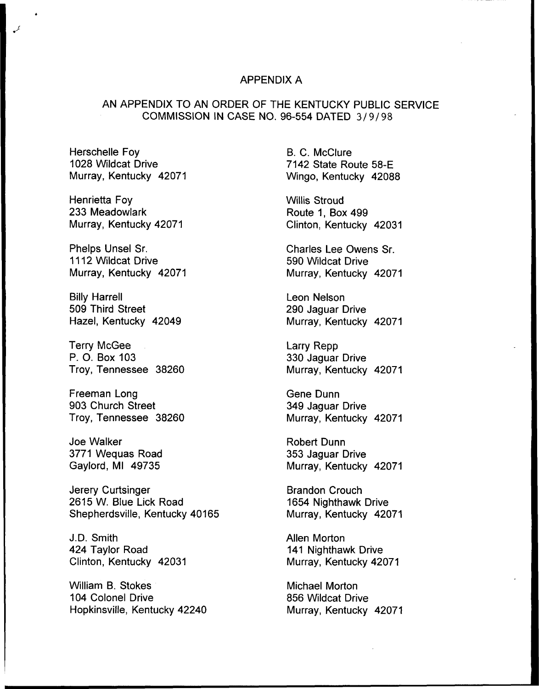## APPENDIX A

# AN APPENDIX TO AN ORDER OF THE KENTUCKY PUBLIC SERVICE COMMISSION IN CASE NO. 96-554 DATED 3/9/98

Herschelle Foy 1028 Wildcat Drive Murray, Kentucky 42071

Henrietta Foy 233 Meadowlark Murray, Kentucky 42071

Phelps Unsel Sr. 1112 Wildcat Drive Murray, Kentucky 42071

Billy Harrell 509 Third Street Hazel, Kentucky 42049

Terry McGee P. O. Box 103 Troy, Tennessee 38260

Freeman Long 903 Church Street Troy, Tennessee 38260

Joe Walker 3771 Wequas Road Gaylord, Ml 49735

Jerery Curtsinger 2615 W. Blue Lick Road Shepherdsville, Kentucky 40165

J.D. Smith 424 Taylor Road Clinton, Kentucky 42031

William B. Stokes 104 Colonel Drive Hopkinsville, Kentucky 42240 B. C. McClure 7142 State Route 58-E Wingo, Kentucky 42088

Willis Stroud Route 1, Box 499 Clinton, Kentucky 42031

Charles Lee Owens Sr. 590 Wildcat Drive Murray, Kentucky 42071

Leon Nelson 290 Jaguar Drive Murray, Kentucky 42071

Larry Repp 330 Jaguar Drive Murray, Kentucky 42071

Gene Dunn 349 Jaguar Drive Murray, Kentucky 42071

Robert Dunn 353 Jaguar Drive Murray, Kentucky 42071

Brandon Crouch 1654 Nighthawk Drive Murray, Kentucky 42071

Allen Morton 141 Nighthawk Drive Murray, Kentucky 42071

Michael Morton 856 Wildcat Drive Murray, Kentucky 42071